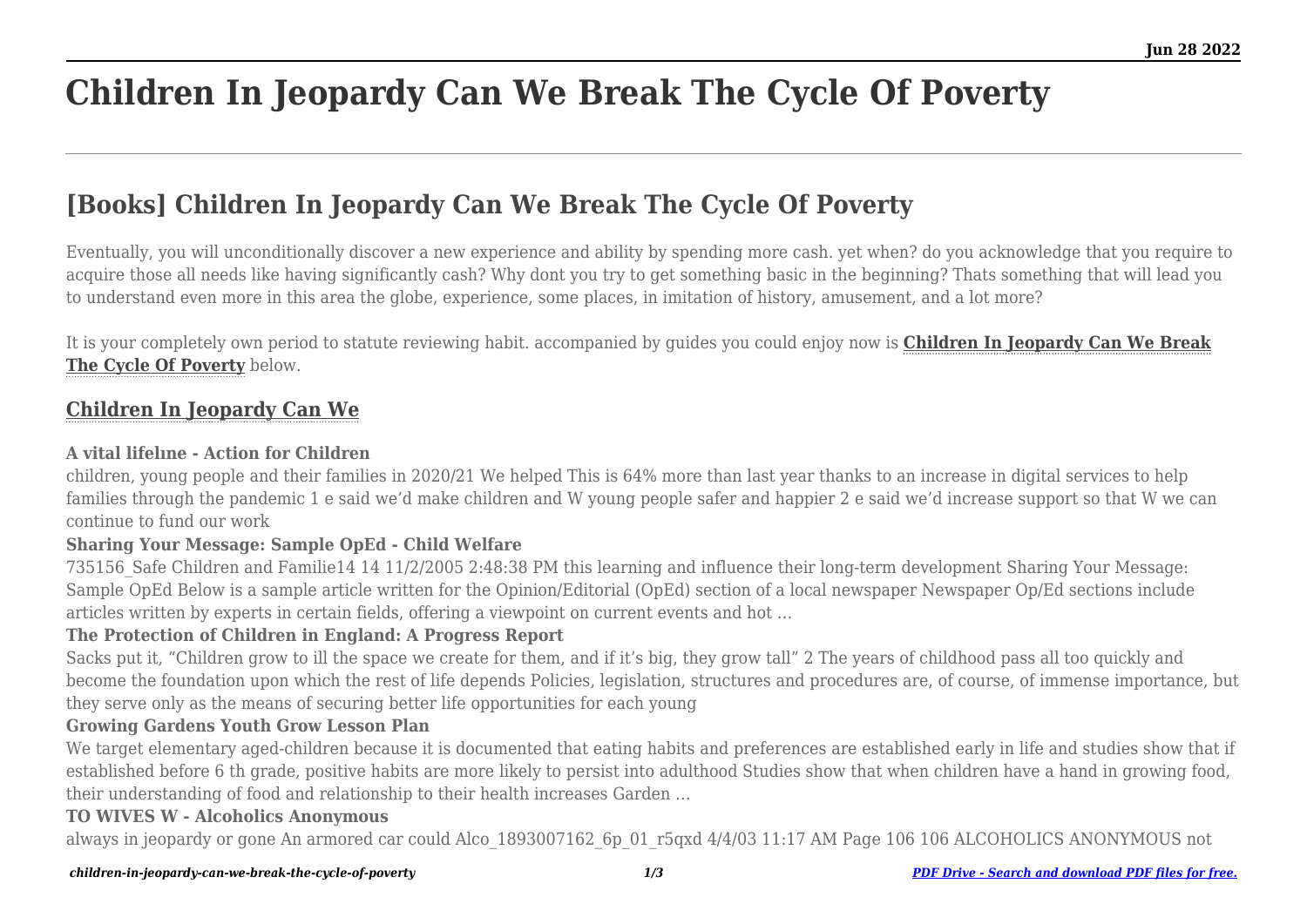# **Children In Jeopardy Can We Break The Cycle Of Poverty**

## **[Books] Children In Jeopardy Can We Break The Cycle Of Poverty**

Eventually, you will unconditionally discover a new experience and ability by spending more cash. yet when? do you acknowledge that you require to acquire those all needs like having significantly cash? Why dont you try to get something basic in the beginning? Thats something that will lead you to understand even more in this area the globe, experience, some places, in imitation of history, amusement, and a lot more?

It is your completely own period to statute reviewing habit. accompanied by guides you could enjoy now is **[Children In Jeopardy Can We Break](https://uniport.edu.ng) [The Cycle Of Poverty](https://uniport.edu.ng)** below.

## **[Children In Jeopardy Can We](https://uniport.edu.ng/children-in-jeopardy-can-we-break-the-cycle-of-poverty.pdf)**

#### **A vital lifelıne - Action for Children**

children, young people and their families in 2020/21 We helped This is 64% more than last year thanks to an increase in digital services to help families through the pandemic 1 e said we'd make children and W young people safer and happier 2 e said we'd increase support so that W we can continue to fund our work

## **Sharing Your Message: Sample OpEd - Child Welfare**

735156\_Safe Children and Familie14 14 11/2/2005 2:48:38 PM this learning and influence their long-term development Sharing Your Message: Sample OpEd Below is a sample article written for the Opinion/Editorial (OpEd) section of a local newspaper Newspaper Op/Ed sections include articles written by experts in certain fields, offering a viewpoint on current events and hot …

#### **The Protection of Children in England: A Progress Report**

Sacks put it, "Children grow to ill the space we create for them, and if it's big, they grow tall" 2 The years of childhood pass all too quickly and become the foundation upon which the rest of life depends Policies, legislation, structures and procedures are, of course, of immense importance, but they serve only as the means of securing better life opportunities for each young

#### **Growing Gardens Youth Grow Lesson Plan**

We target elementary aged-children because it is documented that eating habits and preferences are established early in life and studies show that if established before 6 th grade, positive habits are more likely to persist into adulthood Studies show that when children have a hand in growing food, their understanding of food and relationship to their health increases Garden …

#### **TO WIVES W - Alcoholics Anonymous**

always in jeopardy or gone An armored car could Alco 1893007162 6p\_01\_r5qxd 4/4/03 11:17 AM Page 106 106 ALCOHOLICS ANONYMOUS not

#### *children-in-jeopardy-can-we-break-the-cycle-of-poverty 1/3 [PDF Drive - Search and download PDF files for free.](https://uniport.edu.ng/)*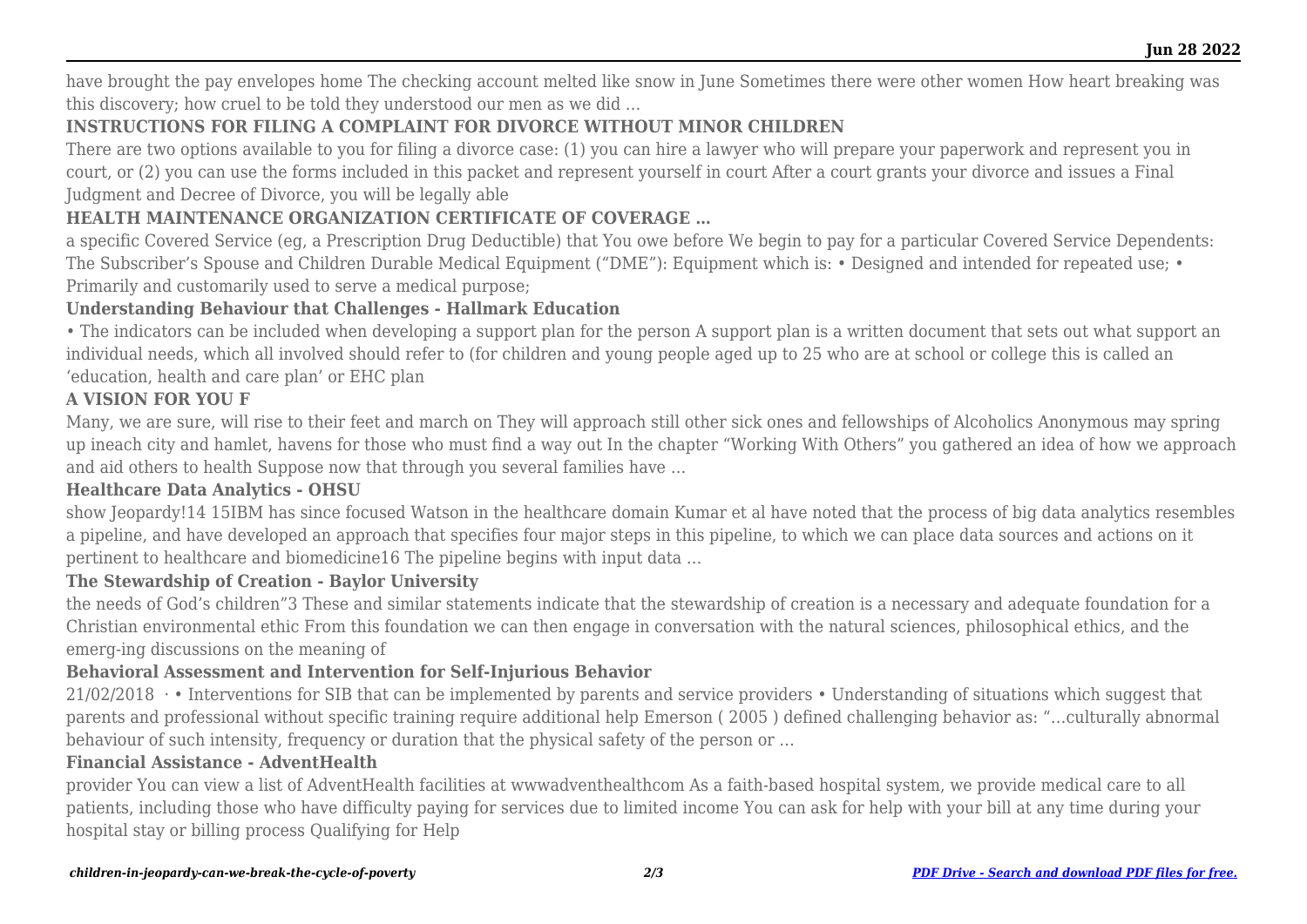have brought the pay envelopes home The checking account melted like snow in June Sometimes there were other women How heart breaking was this discovery; how cruel to be told they understood our men as we did …

## **INSTRUCTIONS FOR FILING A COMPLAINT FOR DIVORCE WITHOUT MINOR CHILDREN**

There are two options available to you for filing a divorce case: (1) you can hire a lawyer who will prepare your paperwork and represent you in court, or (2) you can use the forms included in this packet and represent yourself in court After a court grants your divorce and issues a Final Judgment and Decree of Divorce, you will be legally able

## **HEALTH MAINTENANCE ORGANIZATION CERTIFICATE OF COVERAGE …**

a specific Covered Service (eg, a Prescription Drug Deductible) that You owe before We begin to pay for a particular Covered Service Dependents: The Subscriber's Spouse and Children Durable Medical Equipment ("DME"): Equipment which is: • Designed and intended for repeated use: • Primarily and customarily used to serve a medical purpose;

## **Understanding Behaviour that Challenges - Hallmark Education**

• The indicators can be included when developing a support plan for the person A support plan is a written document that sets out what support an individual needs, which all involved should refer to (for children and young people aged up to 25 who are at school or college this is called an 'education, health and care plan' or EHC plan

## **A VISION FOR YOU F**

Many, we are sure, will rise to their feet and march on They will approach still other sick ones and fellowships of Alcoholics Anonymous may spring up ineach city and hamlet, havens for those who must find a way out In the chapter "Working With Others" you gathered an idea of how we approach and aid others to health Suppose now that through you several families have …

## **Healthcare Data Analytics - OHSU**

show Jeopardy!14 15IBM has since focused Watson in the healthcare domain Kumar et al have noted that the process of big data analytics resembles a pipeline, and have developed an approach that specifies four major steps in this pipeline, to which we can place data sources and actions on it pertinent to healthcare and biomedicine16 The pipeline begins with input data …

## **The Stewardship of Creation - Baylor University**

the needs of God's children"3 These and similar statements indicate that the stewardship of creation is a necessary and adequate foundation for a Christian environmental ethic From this foundation we can then engage in conversation with the natural sciences, philosophical ethics, and the emerg-ing discussions on the meaning of

## **Behavioral Assessment and Intervention for Self-Injurious Behavior**

 $21/02/2018$  · • Interventions for SIB that can be implemented by parents and service providers • Understanding of situations which suggest that parents and professional without specific training require additional help Emerson ( 2005 ) defined challenging behavior as: "…culturally abnormal behaviour of such intensity, frequency or duration that the physical safety of the person or …

#### **Financial Assistance - AdventHealth**

provider You can view a list of AdventHealth facilities at wwwadventhealthcom As a faith-based hospital system, we provide medical care to all patients, including those who have difficulty paying for services due to limited income You can ask for help with your bill at any time during your hospital stay or billing process Qualifying for Help